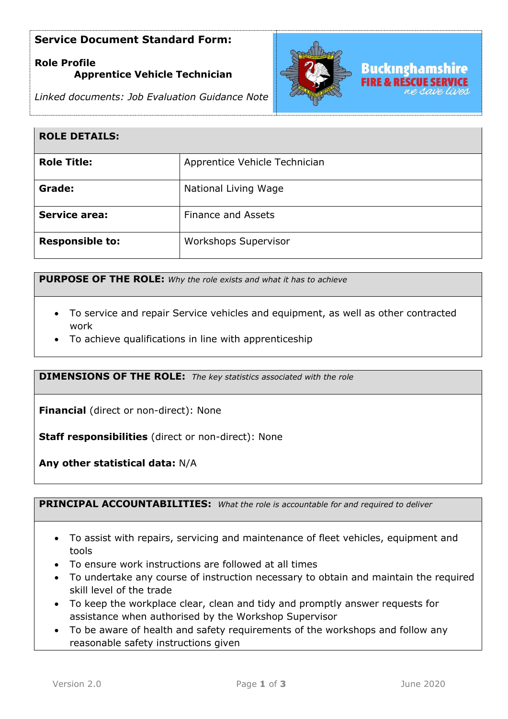## **Service Document Standard Form:**

# **Role Profile Apprentice Vehicle Technician**





| <b>ROLE DETAILS:</b>   |                               |
|------------------------|-------------------------------|
| <b>Role Title:</b>     | Apprentice Vehicle Technician |
| Grade:                 | National Living Wage          |
| <b>Service area:</b>   | <b>Finance and Assets</b>     |
| <b>Responsible to:</b> | <b>Workshops Supervisor</b>   |

**PURPOSE OF THE ROLE:** *Why the role exists and what it has to achieve* 

- To service and repair Service vehicles and equipment, as well as other contracted work
- To achieve qualifications in line with apprenticeship

**DIMENSIONS OF THE ROLE:** *The key statistics associated with the role*

**Financial** (direct or non-direct): None

**Staff responsibilities** (direct or non-direct): None

**Any other statistical data:** N/A

**PRINCIPAL ACCOUNTABILITIES:** *What the role is accountable for and required to deliver*

- To assist with repairs, servicing and maintenance of fleet vehicles, equipment and tools
- To ensure work instructions are followed at all times
- To undertake any course of instruction necessary to obtain and maintain the required skill level of the trade
- To keep the workplace clear, clean and tidy and promptly answer requests for assistance when authorised by the Workshop Supervisor
- To be aware of health and safety requirements of the workshops and follow any reasonable safety instructions given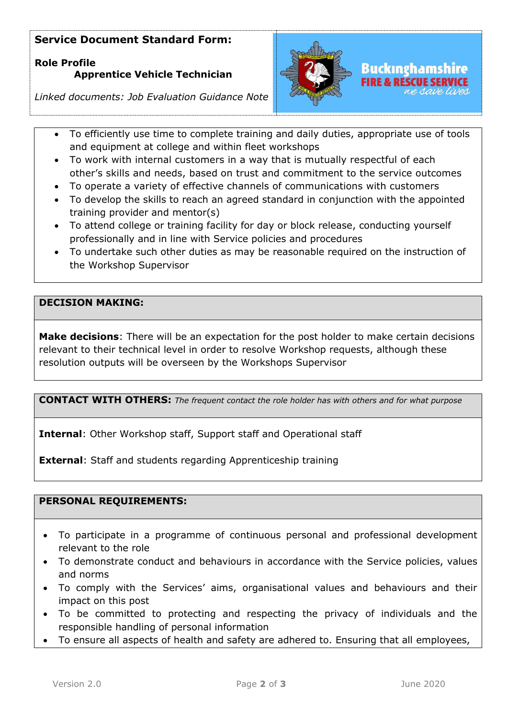# **Service Document Standard Form:**

**Role Profile Apprentice Vehicle Technician**



# Buckınghamshire

*Linked documents: Job Evaluation Guidance Note*

- To efficiently use time to complete training and daily duties, appropriate use of tools and equipment at college and within fleet workshops
- To work with internal customers in a way that is mutually respectful of each other's skills and needs, based on trust and commitment to the service outcomes
- To operate a variety of effective channels of communications with customers
- To develop the skills to reach an agreed standard in conjunction with the appointed training provider and mentor(s)
- To attend college or training facility for day or block release, conducting yourself professionally and in line with Service policies and procedures
- To undertake such other duties as may be reasonable required on the instruction of the Workshop Supervisor

### **DECISION MAKING:**

**Make decisions**: There will be an expectation for the post holder to make certain decisions relevant to their technical level in order to resolve Workshop requests, although these resolution outputs will be overseen by the Workshops Supervisor

**CONTACT WITH OTHERS:** *The frequent contact the role holder has with others and for what purpose* 

**Internal**: Other Workshop staff, Support staff and Operational staff

**External**: Staff and students regarding Apprenticeship training

#### **PERSONAL REQUIREMENTS:**

- To participate in a programme of continuous personal and professional development relevant to the role
- To demonstrate conduct and behaviours in accordance with the Service policies, values and norms
- To comply with the Services' aims, organisational values and behaviours and their impact on this post
- To be committed to protecting and respecting the privacy of individuals and the responsible handling of personal information
- To ensure all aspects of health and safety are adhered to. Ensuring that all employees,